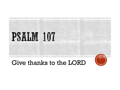

#### Give thanks to the LORD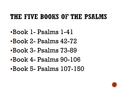#### THE FIVE BOOKS OF THE PSALMS

- ▪Book 1- Psalms 1-41
- ▪Book 2- Psalms 42-72
- ▪Book 3- Psalms 73-89
- ▪Book 4- Psalms 90-106
- ▪Book 5- Psalms 107-150

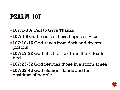## **PSALM 107**

- **107:1-3** A Call to Give Thanks
- **107:4-9** God rescues those hopelessly lost
- **107:10-16** God saves from dark and dreary prisons
- **107:17-22** God lifts the sick from their death bed
- **107:23-32** God rescues those in a storm at sea
- **107:33-43** God changes lands and the positions of people

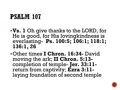# **PSALM 107**

- ▪**Vs. 1** Oh give thanks to the LORD, for He is good, for His lovingkindness is everlasting- **Ps. 100:5; 106:1; 118:1; 136:1, 26**
- ▪Other times **I Chron. 16:34-** David moving the ark; **II Chron. 5:13** completion of temple- **Jer. 33:11** return from captivity; **Ezra 3:11** laying foundation of second temple

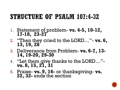#### STRUCTURE OF PSALM 107:4-32

- 1. Statement of problem- **vs. 4-5, 10-12, 17-18, 23-27**
- 2. "Then they cried to the LORD…"- **vs. 6, 13, 19, 28**
- 3. Deliverance from Problem- **vs. 6-7, 13- 14, 19-20, 29-30**
- 4. "Let them give thanks to the LORD…" **vs. 8, 15, 21, 31**
- 5. Praise- **vs. 9, 16-** or thanksgiving- **vs.**  22, 32- ends the section

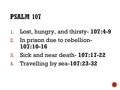# **PSALM 107**

- 1. Lost, hungry, and thirsty- **107:4-9**
- 2. In prison due to rebellion-**107:10-16**
- 3. Sick and near death- **107:17-22**
- 4. Travelling by sea-**107:23-32**